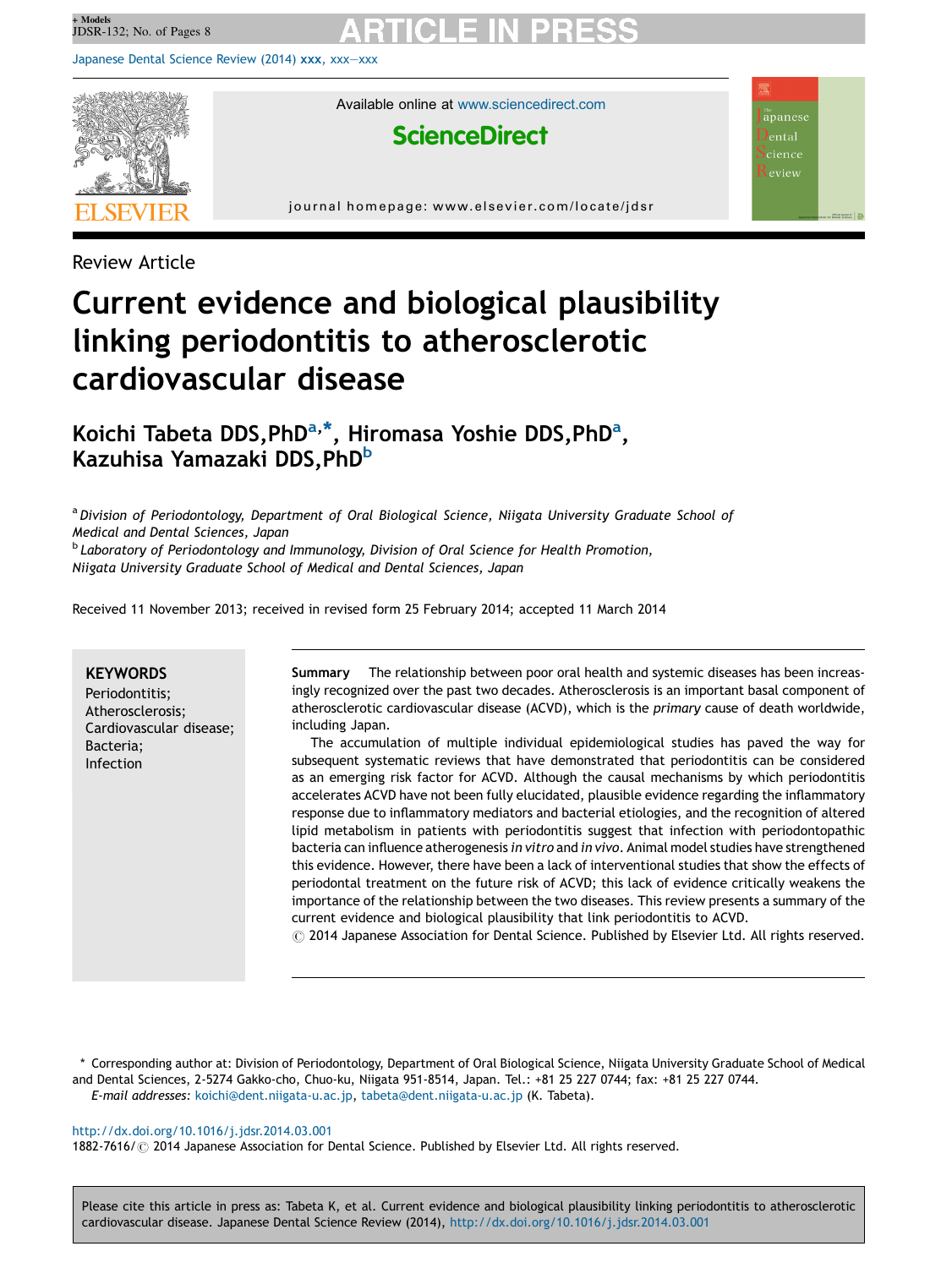[Japanese](http://dx.doi.org/10.1016/j.jdsr.2014.03.001) Dental Science Review (2014) xxx, xxx—xxx



Available online at [www.sciencedirect.com](http://www.sciencedirect.com/science/journal/18827616)

## **ScienceDirect**

 $a$  apanese ental cience eview

journal homepage: www.elsevier.com/locate/jdsr

Review Article

# Current evidence and biological plausibility linking periodontitis to atherosclerotic cardiovascular disease

Koichi Tabeta DDS,PhD<sup>a,\*</sup>, Hiromasa Yoshie DDS,PhD<sup>a</sup>, Kazuhisa Yamazaki DDS, PhD<sup>b</sup>

a Division of Periodontology, Department of Oral Biological Science, Niigata University Graduate School of Medical and Dental Sciences, Japan

 $<sup>b</sup>$  Laboratory of Periodontology and Immunology, Division of Oral Science for Health Promotion,</sup> Niigata University Graduate School of Medical and Dental Sciences, Japan

Received 11 November 2013; received in revised form 25 February 2014; accepted 11 March 2014

#### **KEYWORDS**

Periodontitis; Atherosclerosis; Cardiovascular disease; Bacteria; Infection

Summary The relationship between poor oral health and systemic diseases has been increasingly recognized over the past two decades. Atherosclerosis is an important basal component of atherosclerotic cardiovascular disease (ACVD), which is the primary cause of death worldwide, including Japan.

The accumulation of multiple individual epidemiological studies has paved the way for subsequent systematic reviews that have demonstrated that periodontitis can be considered as an emerging risk factor for ACVD. Although the causal mechanisms by which periodontitis accelerates ACVD have not been fully elucidated, plausible evidence regarding the inflammatory response due to inflammatory mediators and bacterial etiologies, and the recognition of altered lipid metabolism in patients with periodontitis suggest that infection with periodontopathic bacteria can influence atherogenesis in vitro and in vivo. Animal model studies have strengthened this evidence. However, there have been a lack of interventional studies that show the effects of periodontal treatment on the future risk of ACVD; this lack of evidence critically weakens the importance of the relationship between the two diseases. This review presents a summary of the current evidence and biological plausibility that link periodontitis to ACVD.

 $\odot$  2014 Japanese Association for Dental Science. Published by Elsevier Ltd. All rights reserved.

\* Corresponding author at: Division of Periodontology, Department of Oral Biological Science, Niigata University Graduate School of Medical and Dental Sciences, 2-5274 Gakko-cho, Chuo-ku, Niigata 951-8514, Japan. Tel.: +81 25 227 0744; fax: +81 25 227 0744. E-mail addresses: [koichi@dent.niigata-u.ac.jp,](mailto:koichi@dent.niigata-u.ac.jp) [tabeta@dent.niigata-u.ac.jp](mailto:tabeta@dent.niigata-u.ac.jp) (K. Tabeta).

#### <http://dx.doi.org/10.1016/j.jdsr.2014.03.001>

1882-7616/ © 2014 Japanese Association for Dental Science. Published by Elsevier Ltd. All rights reserved.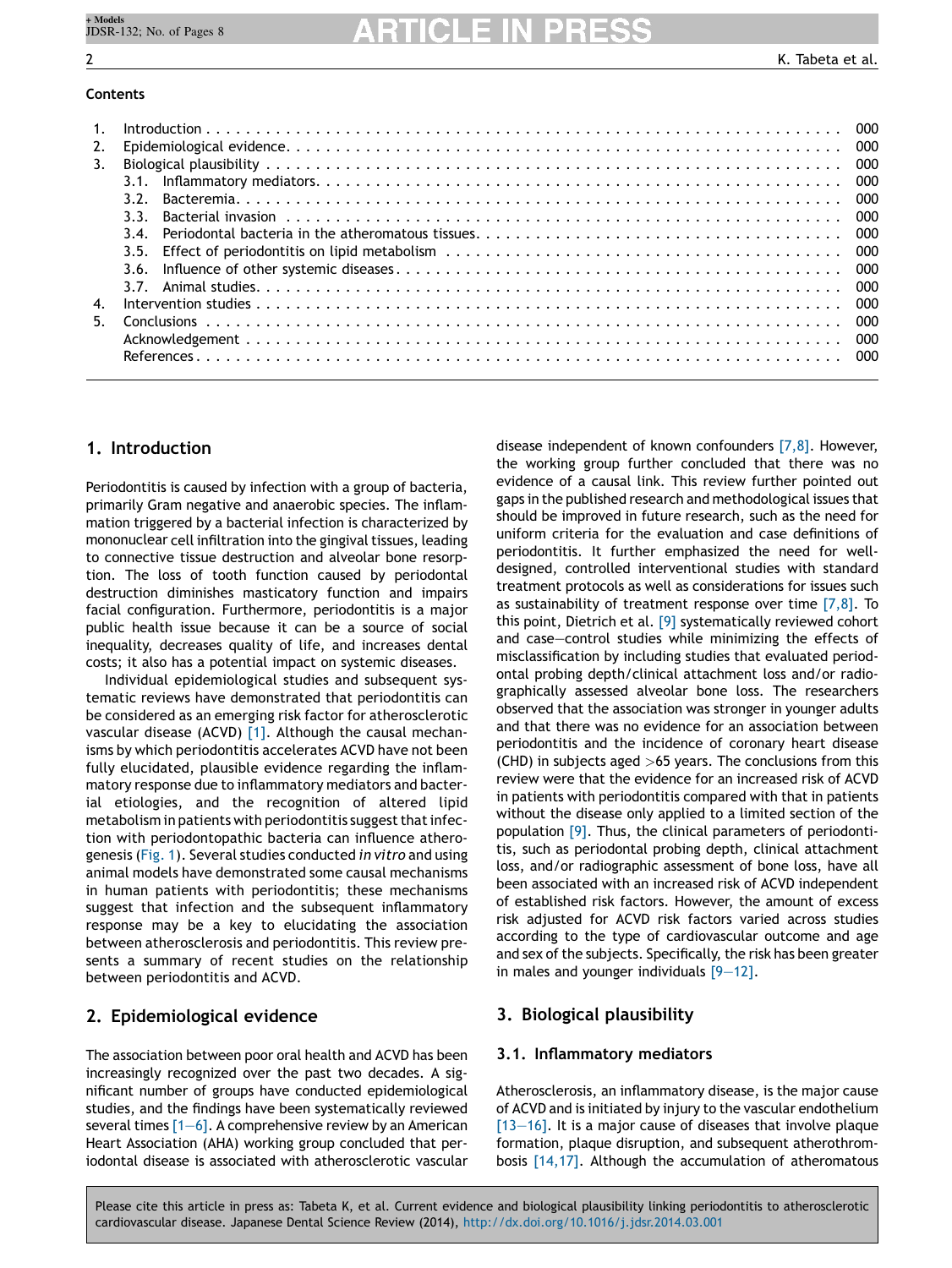#### **Contents**

| $\overline{1}$ . |     |  |
|------------------|-----|--|
| 2.               |     |  |
| 3.               |     |  |
|                  |     |  |
|                  | २ २ |  |
|                  | २ २ |  |
|                  |     |  |
|                  |     |  |
|                  |     |  |
|                  |     |  |
| 4.               |     |  |
| 5.               |     |  |
|                  |     |  |
|                  |     |  |

### 1. Introduction

Periodontitis is caused by infection with a group of bacteria, primarily Gram negative and anaerobic species. The inflammation triggered by a bacterial infection is characterized by mononuclear cell infiltration into the gingival tissues, leading to connective tissue destruction and alveolar bone resorption. The loss of tooth function caused by periodontal destruction diminishes masticatory function and impairs facial configuration. Furthermore, periodontitis is a major public health issue because it can be a source of social inequality, decreases quality of life, and increases dental costs; it also has a potential impact on systemic diseases.

Individual epidemiological studies and subsequent systematic reviews have demonstrated that periodontitis can be considered as an emerging risk factor for atherosclerotic vascular disease (ACVD) [\[1\].](#page-5-0) Although the causal mechanisms by which periodontitis accelerates ACVD have not been fully elucidated, plausible evidence regarding the inflammatory response due to inflammatory mediators and bacterial etiologies, and the recognition of altered lipid metabolism in patients with periodontitis suggest that infection with periodontopathic bacteria can influence atherogenesis [\(Fig.](#page-2-0) 1). Several studies conducted in vitro and using animal models have demonstrated some causal mechanisms in human patients with periodontitis; these mechanisms suggest that infection and the subsequent inflammatory response may be a key to elucidating the association between atherosclerosis and periodontitis. This review presents a summary of recent studies on the relationship between periodontitis and ACVD.

### 2. Epidemiological evidence

The association between poor oral health and ACVD has been increasingly recognized over the past two decades. A significant number of groups have conducted epidemiological studies, and the findings have been systematically reviewed several times  $[1-6]$ . A comprehensive review by an American Heart Association (AHA) working group concluded that periodontal disease is associated with atherosclerotic vascular disease independent of known confounders [\[7,8\].](#page-5-0) However, the working group further concluded that there was no evidence of a causal link. This review further pointed out gaps in the published research and methodological issues that should be improved in future research, such as the need for uniform criteria for the evaluation and case definitions of periodontitis. It further emphasized the need for welldesigned, controlled interventional studies with standard treatment protocols as well as considerations for issues such as sustainability of treatment response over time  $[7,8]$ . To this point, Dietrich et al. [\[9\]](#page-5-0) systematically reviewed cohort and case—control studies while minimizing the effects of misclassification by including studies that evaluated periodontal probing depth/clinical attachment loss and/or radiographically assessed alveolar bone loss. The researchers observed that the association was stronger in younger adults and that there was no evidence for an association between periodontitis and the incidence of coronary heart disease (CHD) in subjects aged  $>65$  years. The conclusions from this review were that the evidence for an increased risk of ACVD in patients with periodontitis compared with that in patients without the disease only applied to a limited section of the population [\[9\]](#page-5-0). Thus, the clinical parameters of periodontitis, such as periodontal probing depth, clinical attachment loss, and/or radiographic assessment of bone loss, have all been associated with an increased risk of ACVD independent of established risk factors. However, the amount of excess risk adjusted for ACVD risk factors varied across studies according to the type of cardiovascular outcome and age and sex of the subjects. Specifically, the risk has been greater in males and younger individuals [\[9—12\].](#page-5-0)

### 3. Biological plausibility

#### 3.1. Inflammatory mediators

Atherosclerosis, an inflammatory disease, is the major cause of ACVD and is initiated by injury to the vascular endothelium  $[13-16]$ . It is a major cause of diseases that involve plaque formation, plaque disruption, and subsequent atherothrombosis [\[14,17\]](#page-5-0). Although the accumulation of atheromatous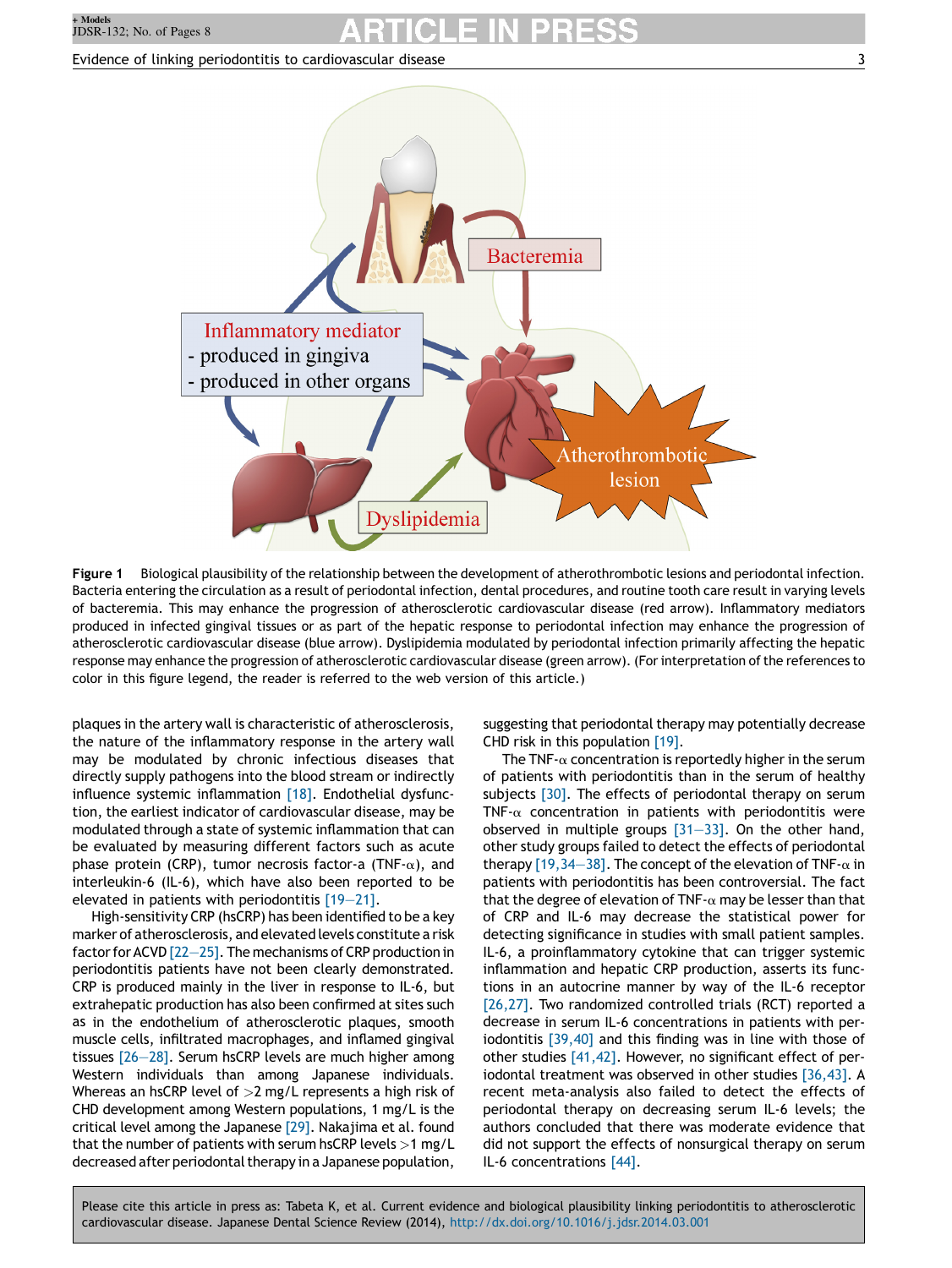#### <span id="page-2-0"></span>Evidence of linking periodontitis to cardiovascular disease 3



Figure 1 Biological plausibility of the relationship between the development of atherothrombotic lesions and periodontal infection. Bacteria entering the circulation as a result of periodontal infection, dental procedures, and routine tooth care result in varying levels of bacteremia. This may enhance the progression of atherosclerotic cardiovascular disease (red arrow). Inflammatory mediators produced in infected gingival tissues or as part of the hepatic response to periodontal infection may enhance the progression of atherosclerotic cardiovascular disease (blue arrow). Dyslipidemia modulated by periodontal infection primarily affecting the hepatic response may enhance the progression of atherosclerotic cardiovascular disease (green arrow). (For interpretation ofthe references to color in this figure legend, the reader is referred to the web version of this article.)

plaques in the artery wall is characteristic of atherosclerosis, the nature of the inflammatory response in the artery wall may be modulated by chronic infectious diseases that directly supply pathogens into the blood stream or indirectly influence systemic inflammation [\[18\]](#page-5-0). Endothelial dysfunction, the earliest indicator of cardiovascular disease, may be modulated through a state of systemic inflammation that can be evaluated by measuring different factors such as acute phase protein (CRP), tumor necrosis factor-a (TNF- $\alpha$ ), and interleukin-6 (IL-6), which have also been reported to be elevated in patients with periodontitis [\[19—21\].](#page-5-0)

High-sensitivity CRP (hsCRP) has been identified to be a key marker of atherosclerosis, and elevated levels constitute a risk factor for ACVD [22-25]. The mechanisms of CRP production in periodontitis patients have not been clearly demonstrated. CRP is produced mainly in the liver in response to IL-6, but extrahepatic production has also been confirmed at sites such as in the endothelium of atherosclerotic plaques, smooth muscle cells, infiltrated macrophages, and inflamed gingival tissues [\[26—28\].](#page-5-0) Serum hsCRP levels are much higher among Western individuals than among Japanese individuals. Whereas an hsCRP level of  $>2$  mg/L represents a high risk of CHD development among Western populations, 1 mg/L is the critical level among the Japanese [\[29\]](#page-5-0). Nakajima et al. found that the number of patients with serum hsCRP levels  $>1$  mg/L decreased after periodontal therapy in a Japanese population, suggesting that periodontal therapy may potentially decrease CHD risk in this population [\[19\].](#page-5-0)

The TNF- $\alpha$  concentration is reportedly higher in the serum of patients with periodontitis than in the serum of healthy subjects [\[30\].](#page-5-0) The effects of periodontal therapy on serum TNF- $\alpha$  concentration in patients with periodontitis were observed in multiple groups [\[31—33\]](#page-5-0). On the other hand, other study groups failed to detect the effects of periodontal therapy [19,34–38]. The concept of the elevation of TNF- $\alpha$  in patients with periodontitis has been controversial. The fact that the degree of elevation of TNF- $\alpha$  may be lesser than that of CRP and IL-6 may decrease the statistical power for detecting significance in studies with small patient samples. IL-6, a proinflammatory cytokine that can trigger systemic inflammation and hepatic CRP production, asserts its functions in an autocrine manner by way of the IL-6 receptor [\[26,27\].](#page-5-0) Two randomized controlled trials (RCT) reported a decrease in serum IL-6 concentrations in patients with periodontitis [\[39,40\]](#page-6-0) and this finding was in line with those of other studies [\[41,42\].](#page-6-0) However, no significant effect of periodontal treatment was observed in other studies [\[36,43\]](#page-6-0). A recent meta-analysis also failed to detect the effects of periodontal therapy on decreasing serum IL-6 levels; the authors concluded that there was moderate evidence that did not support the effects of nonsurgical therapy on serum IL-6 concentrations [\[44\]](#page-6-0).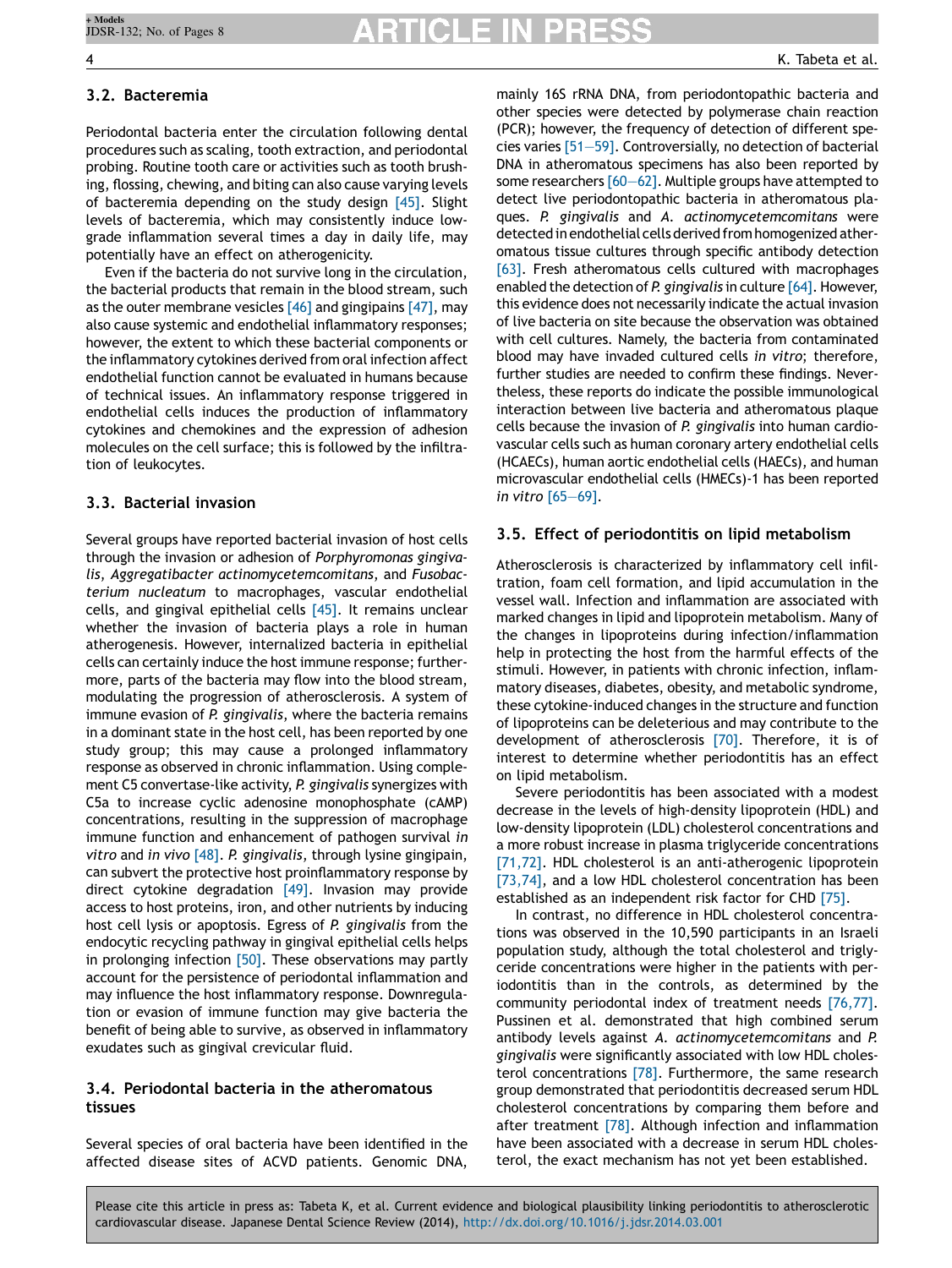#### 3.2. Bacteremia

Periodontal bacteria enter the circulation following dental procedures such as scaling, tooth extraction, and periodontal probing. Routine tooth care or activities such as tooth brushing, flossing, chewing, and biting can also cause varying levels of bacteremia depending on the study design [\[45\].](#page-6-0) Slight levels of bacteremia, which may consistently induce lowgrade inflammation several times a day in daily life, may potentially have an effect on atherogenicity.

Even if the bacteria do not survive long in the circulation, the bacterial products that remain in the blood stream, such as the outer membrane vesicles  $[46]$  and gingipains  $[47]$ , may also cause systemic and endothelial inflammatory responses; however, the extent to which these bacterial components or the inflammatory cytokines derived from oral infection affect endothelial function cannot be evaluated in humans because of technical issues. An inflammatory response triggered in endothelial cells induces the production of inflammatory cytokines and chemokines and the expression of adhesion molecules on the cell surface; this is followed by the infiltration of leukocytes.

#### 3.3. Bacterial invasion

Several groups have reported bacterial invasion of host cells through the invasion or adhesion of Porphyromonas gingivalis, Aggregatibacter actinomycetemcomitans, and Fusobacterium nucleatum to macrophages, vascular endothelial cells, and gingival epithelial cells [\[45\]](#page-6-0). It remains unclear whether the invasion of bacteria plays a role in human atherogenesis. However, internalized bacteria in epithelial cells can certainly induce the host immune response; furthermore, parts of the bacteria may flow into the blood stream, modulating the progression of atherosclerosis. A system of immune evasion of P. gingivalis, where the bacteria remains in a dominant state in the host cell, has been reported by one study group; this may cause a prolonged inflammatory response as observed in chronic inflammation. Using complement C5 convertase-like activity, P. gingivalis synergizes with C5a to increase cyclic adenosine monophosphate (cAMP) concentrations, resulting in the suppression of macrophage immune function and enhancement of pathogen survival in vitro and in vivo  $[48]$ . P. gingivalis, through lysine gingipain, can subvert the protective host proinflammatory response by direct cytokine degradation [\[49\]](#page-6-0). Invasion may provide access to host proteins, iron, and other nutrients by inducing host cell lysis or apoptosis. Egress of P. gingivalis from the endocytic recycling pathway in gingival epithelial cells helps in prolonging infection [\[50\].](#page-6-0) These observations may partly account for the persistence of periodontal inflammation and may influence the host inflammatory response. Downregulation or evasion of immune function may give bacteria the benefit of being able to survive, as observed in inflammatory exudates such as gingival crevicular fluid.

#### 3.4. Periodontal bacteria in the atheromatous tissues

Several species of oral bacteria have been identified in the affected disease sites of ACVD patients. Genomic DNA,

mainly 16S rRNA DNA, from periodontopathic bacteria and other species were detected by polymerase chain reaction (PCR); however, the frequency of detection of different species varies [\[51—59\].](#page-6-0) Controversially, no detection of bacterial DNA in atheromatous specimens has also been reported by some researchers  $[60-62]$ . Multiple groups have attempted to detect live periodontopathic bacteria in atheromatous plaques. P. gingivalis and A. actinomycetemcomitans were detected in endothelial cells derived from homogenized atheromatous tissue cultures through specific antibody detection [\[63\]](#page-6-0). Fresh atheromatous cells cultured with macrophages enabled the detection of P. gingivalis in culture [\[64\].](#page-6-0) However, this evidence does not necessarily indicate the actual invasion of live bacteria on site because the observation was obtained with cell cultures. Namely, the bacteria from contaminated blood may have invaded cultured cells in vitro; therefore, further studies are needed to confirm these findings. Nevertheless, these reports do indicate the possible immunological interaction between live bacteria and atheromatous plaque cells because the invasion of P. gingivalis into human cardiovascular cells such as human coronary artery endothelial cells (HCAECs), human aortic endothelial cells (HAECs), and human microvascular endothelial cells (HMECs)-1 has been reported in vitro [\[65—69\].](#page-6-0)

#### 3.5. Effect of periodontitis on lipid metabolism

Atherosclerosis is characterized by inflammatory cell infiltration, foam cell formation, and lipid accumulation in the vessel wall. Infection and inflammation are associated with marked changes in lipid and lipoprotein metabolism. Many of the changes in lipoproteins during infection/inflammation help in protecting the host from the harmful effects of the stimuli. However, in patients with chronic infection, inflammatory diseases, diabetes, obesity, and metabolic syndrome, these cytokine-induced changes in the structure and function of lipoproteins can be deleterious and may contribute to the development of atherosclerosis [\[70\]](#page-7-0). Therefore, it is of interest to determine whether periodontitis has an effect on lipid metabolism.

Severe periodontitis has been associated with a modest decrease in the levels of high-density lipoprotein (HDL) and low-density lipoprotein (LDL) cholesterol concentrations and a more robust increase in plasma triglyceride concentrations [\[71,72\]](#page-7-0). HDL cholesterol is an anti-atherogenic lipoprotein [\[73,74\]](#page-7-0), and a low HDL cholesterol concentration has been established as an independent risk factor for CHD [\[75\]](#page-7-0).

In contrast, no difference in HDL cholesterol concentrations was observed in the 10,590 participants in an Israeli population study, although the total cholesterol and triglyceride concentrations were higher in the patients with periodontitis than in the controls, as determined by the community periodontal index of treatment needs [\[76,77\].](#page-7-0) Pussinen et al. demonstrated that high combined serum antibody levels against A. actinomycetemcomitans and P. gingivalis were significantly associated with low HDL choles-terol concentrations [\[78\].](#page-7-0) Furthermore, the same research group demonstrated that periodontitis decreased serum HDL cholesterol concentrations by comparing them before and after treatment [\[78\]](#page-7-0). Although infection and inflammation have been associated with a decrease in serum HDL cholesterol, the exact mechanism has not yet been established.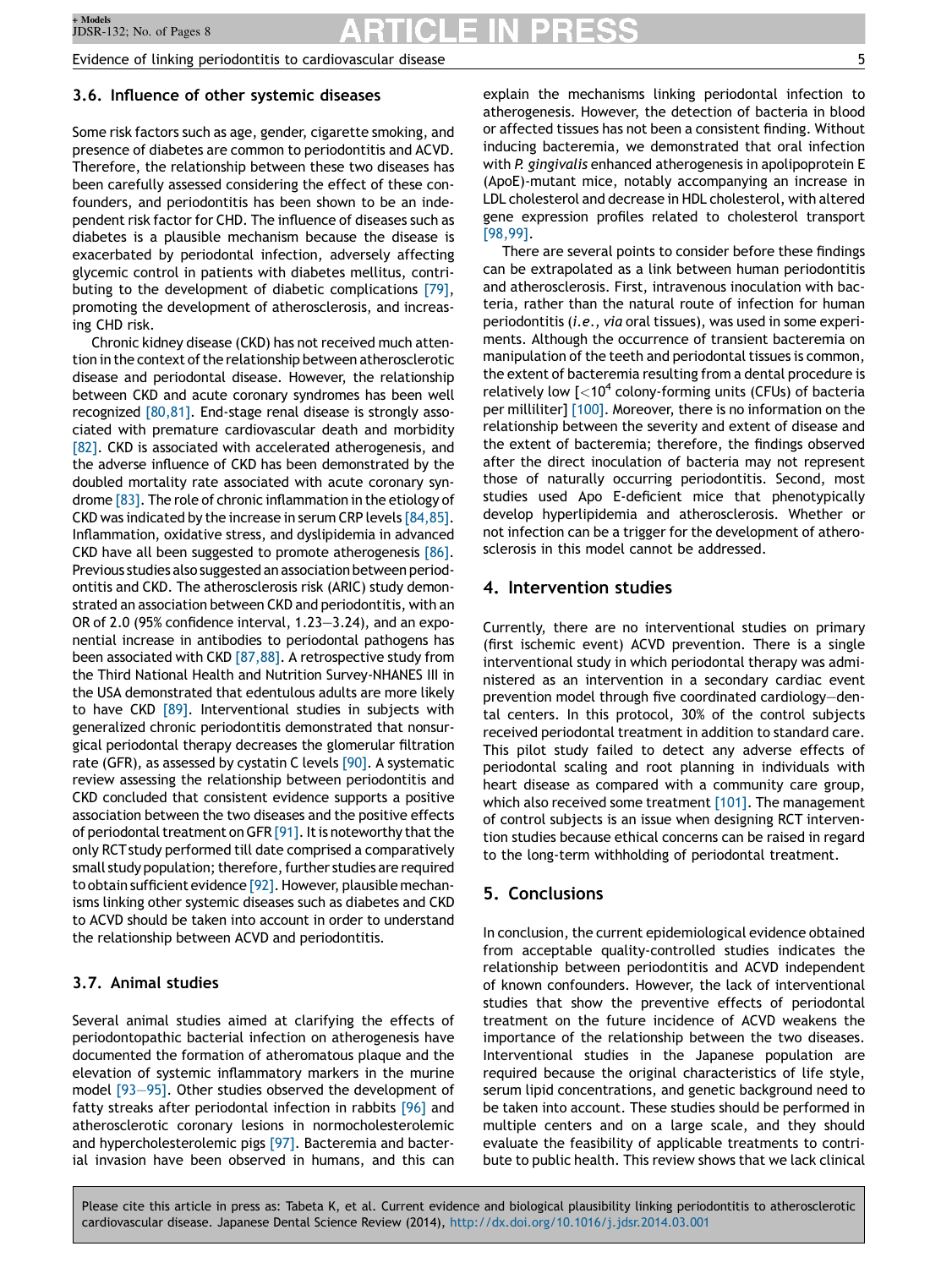Evidence of linking periodontitis to cardiovascular disease 5

#### 3.6. Influence of other systemic diseases

Some risk factors such as age, gender, cigarette smoking, and presence of diabetes are common to periodontitis and ACVD. Therefore, the relationship between these two diseases has been carefully assessed considering the effect of these confounders, and periodontitis has been shown to be an independent risk factor for CHD. The influence of diseases such as diabetes is a plausible mechanism because the disease is exacerbated by periodontal infection, adversely affecting glycemic control in patients with diabetes mellitus, contributing to the development of diabetic complications [\[79\]](#page-7-0), promoting the development of atherosclerosis, and increasing CHD risk.

Chronic kidney disease (CKD) has not received much attention in the context of the relationship between atherosclerotic disease and periodontal disease. However, the relationship between CKD and acute coronary syndromes has been well recognized [\[80,81\]](#page-7-0). End-stage renal disease is strongly associated with premature cardiovascular death and morbidity [\[82\]](#page-7-0). CKD is associated with accelerated atherogenesis, and the adverse influence of CKD has been demonstrated by the doubled mortality rate associated with acute coronary syndrome [\[83\].](#page-7-0) The role of chronic inflammation in the etiology of CKD was indicated by the increase in serum CRP levels [\[84,85\]](#page-7-0). Inflammation, oxidative stress, and dyslipidemia in advanced CKD have all been suggested to promote atherogenesis [\[86\]](#page-7-0). Previous studies also suggested an association between periodontitis and CKD. The atherosclerosis risk (ARIC) study demonstrated an association between CKD and periodontitis, with an OR of 2.0 (95% confidence interval, 1.23—3.24), and an exponential increase in antibodies to periodontal pathogens has been associated with CKD  $[87,88]$ . A retrospective study from the Third National Health and Nutrition Survey-NHANES III in the USA demonstrated that edentulous adults are more likely to have CKD [\[89\].](#page-7-0) Interventional studies in subjects with generalized chronic periodontitis demonstrated that nonsurgical periodontal therapy decreases the glomerular filtration rate (GFR), as assessed by cystatin C levels [\[90\].](#page-7-0) A systematic review assessing the relationship between periodontitis and CKD concluded that consistent evidence supports a positive association between the two diseases and the positive effects of periodontal treatment on GFR  $[91]$ . It is noteworthy that the only RCT study performed till date comprised a comparatively small study population; therefore, further studies are required to obtain sufficient evidence [\[92\].](#page-7-0) However, plausible mechanisms linking other systemic diseases such as diabetes and CKD to ACVD should be taken into account in order to understand the relationship between ACVD and periodontitis.

### 3.7. Animal studies

Several animal studies aimed at clarifying the effects of periodontopathic bacterial infection on atherogenesis have documented the formation of atheromatous plaque and the elevation of systemic inflammatory markers in the murine model [\[93—95\]](#page-7-0). Other studies observed the development of fatty streaks after periodontal infection in rabbits [\[96\]](#page-7-0) and atherosclerotic coronary lesions in normocholesterolemic and hypercholesterolemic pigs [\[97\].](#page-7-0) Bacteremia and bacterial invasion have been observed in humans, and this can explain the mechanisms linking periodontal infection to atherogenesis. However, the detection of bacteria in blood or affected tissues has not been a consistent finding. Without inducing bacteremia, we demonstrated that oral infection with P. gingivalis enhanced atherogenesis in apolipoprotein E (ApoE)-mutant mice, notably accompanying an increase in LDL cholesterol and decrease in HDL cholesterol, with altered gene expression profiles related to cholesterol transport [\[98,99\].](#page-7-0)

There are several points to consider before these findings can be extrapolated as a link between human periodontitis and atherosclerosis. First, intravenous inoculation with bacteria, rather than the natural route of infection for human periodontitis (i.e., via oral tissues), was used in some experiments. Although the occurrence of transient bacteremia on manipulation of the teeth and periodontal tissues is common, the extent of bacteremia resulting from a dental procedure is relatively low  $\lceil$  <10<sup>4</sup> colony-forming units (CFUs) of bacteria per milliliter] [\[100\]](#page-7-0). Moreover, there is no information on the relationship between the severity and extent of disease and the extent of bacteremia; therefore, the findings observed after the direct inoculation of bacteria may not represent those of naturally occurring periodontitis. Second, most studies used Apo E-deficient mice that phenotypically develop hyperlipidemia and atherosclerosis. Whether or not infection can be a trigger for the development of atherosclerosis in this model cannot be addressed.

#### 4. Intervention studies

Currently, there are no interventional studies on primary (first ischemic event) ACVD prevention. There is a single interventional study in which periodontal therapy was administered as an intervention in a secondary cardiac event prevention model through five coordinated cardiology—dental centers. In this protocol, 30% of the control subjects received periodontal treatment in addition to standard care. This pilot study failed to detect any adverse effects of periodontal scaling and root planning in individuals with heart disease as compared with a community care group, which also received some treatment [\[101\].](#page-7-0) The management of control subjects is an issue when designing RCT intervention studies because ethical concerns can be raised in regard to the long-term withholding of periodontal treatment.

#### 5. Conclusions

In conclusion, the current epidemiological evidence obtained from acceptable quality-controlled studies indicates the relationship between periodontitis and ACVD independent of known confounders. However, the lack of interventional studies that show the preventive effects of periodontal treatment on the future incidence of ACVD weakens the importance of the relationship between the two diseases. Interventional studies in the Japanese population are required because the original characteristics of life style, serum lipid concentrations, and genetic background need to be taken into account. These studies should be performed in multiple centers and on a large scale, and they should evaluate the feasibility of applicable treatments to contribute to public health. This review shows that we lack clinical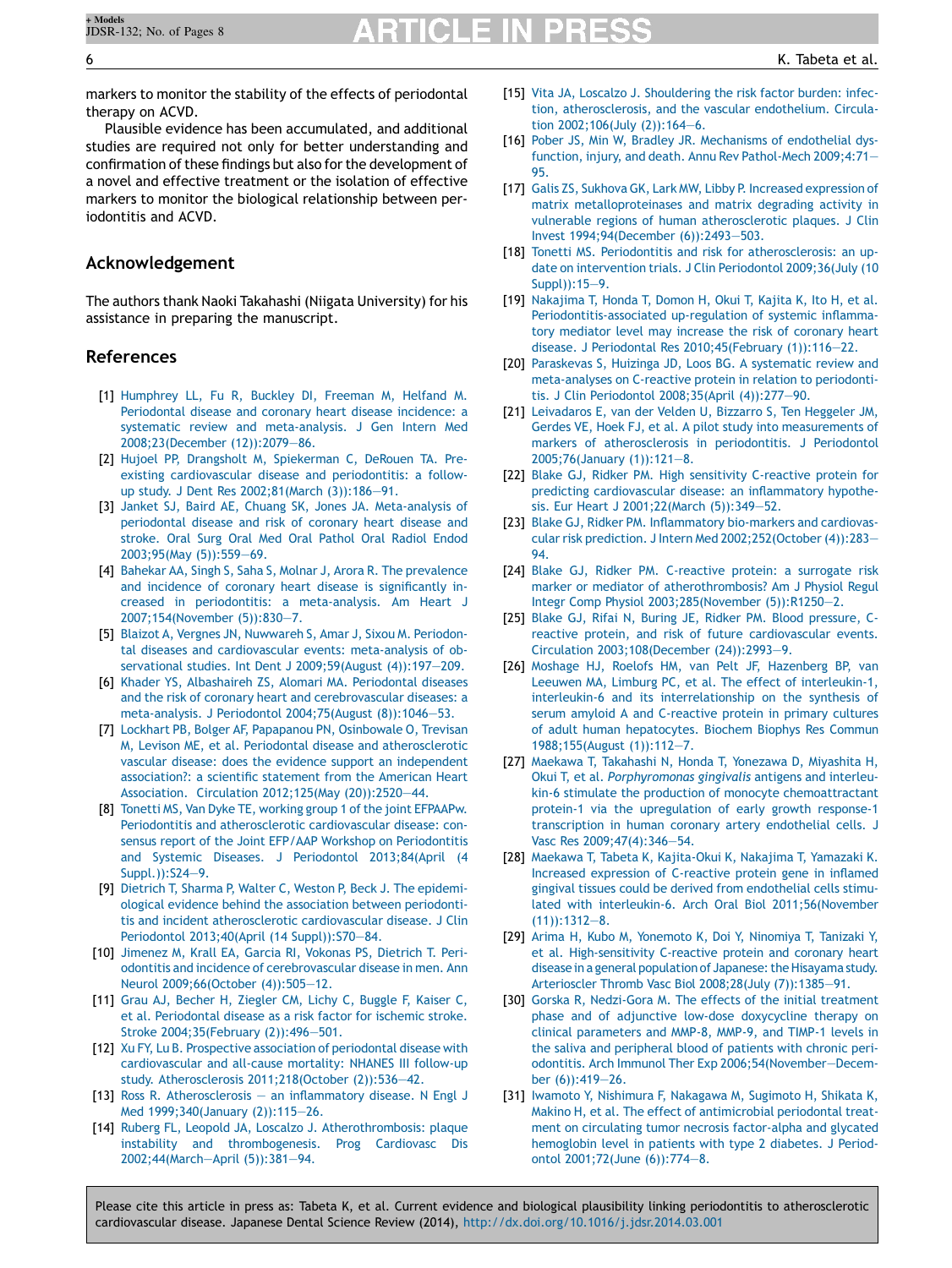# **RTICLE IN PRES**

markers to monitor the stability of the effects of periodontal therapy on ACVD.

Plausible evidence has been accumulated, and additional studies are required not only for better understanding and confirmation of these findings but also for the development of a novel and effective treatment or the isolation of effective markers to monitor the biological relationship between periodontitis and ACVD.

#### Acknowledgement

The authors thank Naoki Takahashi (Niigata University) for his assistance in preparing the manuscript.

#### References

- [1] [Humphrey](http://refhub.elsevier.com/S1882-7616(14)00003-9/sbref0005) LL, Fu R, Buckley DI, Freeman M, Helfand M. [Periodontal](http://refhub.elsevier.com/S1882-7616(14)00003-9/sbref0005) disease and coronary heart disease incidence: a systematic review and [meta-analysis.](http://refhub.elsevier.com/S1882-7616(14)00003-9/sbref0005) J Gen Intern Med [2008;23\(December](http://refhub.elsevier.com/S1882-7616(14)00003-9/sbref0005) (12)):2079—86.
- [2] Hujoel PP, Drangsholt M, [Spiekerman](http://refhub.elsevier.com/S1882-7616(14)00003-9/sbref0010) C, DeRouen TA. Preexisting [cardiovascular](http://refhub.elsevier.com/S1882-7616(14)00003-9/sbref0010) disease and periodontitis: a followup study. J Dent Res [2002;81\(March](http://refhub.elsevier.com/S1882-7616(14)00003-9/sbref0010) (3)):186—91.
- [3] Janket SJ, Baird AE, Chuang SK, Jones JA. [Meta-analysis](http://refhub.elsevier.com/S1882-7616(14)00003-9/sbref0015) of [periodontal](http://refhub.elsevier.com/S1882-7616(14)00003-9/sbref0015) disease and risk of coronary heart disease and [stroke.](http://refhub.elsevier.com/S1882-7616(14)00003-9/sbref0015) Oral Surg Oral Med Oral Pathol Oral Radiol Endod [2003;95\(May](http://refhub.elsevier.com/S1882-7616(14)00003-9/sbref0015) (5)):559—69.
- [4] Bahekar AA, Singh S, Saha S, Molnar J, Arora R. The [prevalence](http://refhub.elsevier.com/S1882-7616(14)00003-9/sbref0020) and incidence of coronary heart disease is [significantly](http://refhub.elsevier.com/S1882-7616(14)00003-9/sbref0020) increased in periodontitis: a [meta-analysis.](http://refhub.elsevier.com/S1882-7616(14)00003-9/sbref0020) Am Heart J [2007;154\(November](http://refhub.elsevier.com/S1882-7616(14)00003-9/sbref0020) (5)):830—7.
- [5] Blaizot A, Vergnes JN, [Nuwwareh](http://refhub.elsevier.com/S1882-7616(14)00003-9/sbref0025) S, Amar J, Sixou M. Periodontal diseases and [cardiovascular](http://refhub.elsevier.com/S1882-7616(14)00003-9/sbref0025) events: meta-analysis of observational studies. Int Dent J [2009;59\(August](http://refhub.elsevier.com/S1882-7616(14)00003-9/sbref0025) (4)):197—209.
- [6] Khader YS, [Albashaireh](http://refhub.elsevier.com/S1882-7616(14)00003-9/sbref0030) ZS, Alomari MA. Periodontal diseases and the risk of coronary heart and [cerebrovascular](http://refhub.elsevier.com/S1882-7616(14)00003-9/sbref0030) diseases: a meta-analysis. J Periodontol [2004;75\(August](http://refhub.elsevier.com/S1882-7616(14)00003-9/sbref0030) (8)):1046—53.
- [7] Lockhart PB, Bolger AF, Papapanou PN, [Osinbowale](http://refhub.elsevier.com/S1882-7616(14)00003-9/sbref0035) O, Trevisan M, Levison ME, et al. Periodontal disease and [atherosclerotic](http://refhub.elsevier.com/S1882-7616(14)00003-9/sbref0035) vascular disease: does the evidence support an [independent](http://refhub.elsevier.com/S1882-7616(14)00003-9/sbref0035) [association?:](http://refhub.elsevier.com/S1882-7616(14)00003-9/sbref0035) a scientific statement from the American Heart Association. Circulation 2012;125(May [\(20\)\):2520—44.](http://refhub.elsevier.com/S1882-7616(14)00003-9/sbref0035)
- [8] Tonetti MS, Van Dyke TE, working group 1 of the joint [EFPAAPw.](http://refhub.elsevier.com/S1882-7616(14)00003-9/sbref0040) Periodontitis and [atherosclerotic](http://refhub.elsevier.com/S1882-7616(14)00003-9/sbref0040) cardiovascular disease: consensus report of the Joint EFP/AAP Workshop on [Periodontitis](http://refhub.elsevier.com/S1882-7616(14)00003-9/sbref0040) and Systemic Diseases. J Periodontol [2013;84\(April](http://refhub.elsevier.com/S1882-7616(14)00003-9/sbref0040) (4 [Suppl.\)\):S24—9](http://refhub.elsevier.com/S1882-7616(14)00003-9/sbref0040).
- [9] Dietrich T, Sharma P, Walter C, Weston P, Beck J. The [epidemi](http://refhub.elsevier.com/S1882-7616(14)00003-9/sbref0045)ological evidence behind the association between [periodonti](http://refhub.elsevier.com/S1882-7616(14)00003-9/sbref0045)tis and incident [atherosclerotic](http://refhub.elsevier.com/S1882-7616(14)00003-9/sbref0045) cardiovascular disease. J Clin Periodontol 2013;40(April (14 [Suppl\)\):S70—84.](http://refhub.elsevier.com/S1882-7616(14)00003-9/sbref0045)
- [10] [Jimenez](http://refhub.elsevier.com/S1882-7616(14)00003-9/sbref0050) M, Krall EA, Garcia RI, Vokonas PS, Dietrich T. Periodontitis and incidence of [cerebrovascular](http://refhub.elsevier.com/S1882-7616(14)00003-9/sbref0050) disease in men. Ann Neurol [2009;66\(October](http://refhub.elsevier.com/S1882-7616(14)00003-9/sbref0050) (4)):505—12.
- [11] Grau AJ, Becher H, [Ziegler](http://refhub.elsevier.com/S1882-7616(14)00003-9/sbref0055) CM, Lichy C, Buggle F, Kaiser C, et al. [Periodontal](http://refhub.elsevier.com/S1882-7616(14)00003-9/sbref0055) disease as a risk factor for ischemic stroke. Stroke [2004;35\(February](http://refhub.elsevier.com/S1882-7616(14)00003-9/sbref0055) (2)):496—501.
- [12] Xu FY, Lu B. Prospective association of [periodontal](http://refhub.elsevier.com/S1882-7616(14)00003-9/sbref0060) disease with [cardiovascular](http://refhub.elsevier.com/S1882-7616(14)00003-9/sbref0060) and all-cause mortality: NHANES III follow-up study. Atherosclerosis [2011;218\(October](http://refhub.elsevier.com/S1882-7616(14)00003-9/sbref0060) (2)):536—42.
- [13] Ross R. [Atherosclerosis](http://refhub.elsevier.com/S1882-7616(14)00003-9/sbref0065) an inflammatory disease. N Engl J Med [1999;340\(January](http://refhub.elsevier.com/S1882-7616(14)00003-9/sbref0065) (2)):115—26.
- [14] Ruberg FL, Leopold JA, Loscalzo J. [Atherothrombosis:](http://refhub.elsevier.com/S1882-7616(14)00003-9/sbref0070) plaque instability and [thrombogenesis.](http://refhub.elsevier.com/S1882-7616(14)00003-9/sbref0070) Prog Cardiovasc Dis [2002;44\(March—April](http://refhub.elsevier.com/S1882-7616(14)00003-9/sbref0070) (5)):381—94.
- [15] Vita JA, Loscalzo J. [Shouldering](http://refhub.elsevier.com/S1882-7616(14)00003-9/sbref0075) the risk factor burden: infection, [atherosclerosis,](http://refhub.elsevier.com/S1882-7616(14)00003-9/sbref0075) and the vascular endothelium. Circulation [2002;106\(July](http://refhub.elsevier.com/S1882-7616(14)00003-9/sbref0075) (2)):164—6.
- [16] Pober JS, Min W, Bradley JR. [Mechanisms](http://refhub.elsevier.com/S1882-7616(14)00003-9/sbref0080) of endothelial dysfunction, injury, and death. Annu Rev [Pathol-Mech](http://refhub.elsevier.com/S1882-7616(14)00003-9/sbref0080) 2009;4:71— [95](http://refhub.elsevier.com/S1882-7616(14)00003-9/sbref0080).
- [17] Galis ZS, Sukhova GK, Lark MW, Libby P. Increased [expression](http://refhub.elsevier.com/S1882-7616(14)00003-9/sbref0085) of matrix [metalloproteinases](http://refhub.elsevier.com/S1882-7616(14)00003-9/sbref0085) and matrix degrading activity in vulnerable regions of human [atherosclerotic](http://refhub.elsevier.com/S1882-7616(14)00003-9/sbref0085) plaques. J Clin Invest [1994;94\(December](http://refhub.elsevier.com/S1882-7616(14)00003-9/sbref0085) (6)):2493—503.
- [18] Tonetti MS. Periodontitis and risk for [atherosclerosis:](http://refhub.elsevier.com/S1882-7616(14)00003-9/sbref0090) an update on intervention trials. J Clin Periodontol [2009;36\(July](http://refhub.elsevier.com/S1882-7616(14)00003-9/sbref0090) (10  $Sunn()$ ):15—9.
- [19] [Nakajima](http://refhub.elsevier.com/S1882-7616(14)00003-9/sbref0095) T, Honda T, Domon H, Okui T, Kajita K, Ito H, et al. [Periodontitis-associated](http://refhub.elsevier.com/S1882-7616(14)00003-9/sbref0095) up-regulation of systemic inflammatory [mediator](http://refhub.elsevier.com/S1882-7616(14)00003-9/sbref0095) level may increase the risk of coronary heart disease. J Periodontal Res [2010;45\(February](http://refhub.elsevier.com/S1882-7616(14)00003-9/sbref0095) (1)):116—22.
- [20] [Paraskevas](http://refhub.elsevier.com/S1882-7616(14)00003-9/sbref0100) S, Huizinga JD, Loos BG, A systematic review and [meta-analyses](http://refhub.elsevier.com/S1882-7616(14)00003-9/sbref0100) on C-reactive protein in relation to periodontitis. J Clin Periodontol [2008;35\(April](http://refhub.elsevier.com/S1882-7616(14)00003-9/sbref0100) (4)):277—90.
- [21] [Leivadaros](http://refhub.elsevier.com/S1882-7616(14)00003-9/sbref0105) E, van der Velden U, Bizzarro S, Ten Heggeler JM, Gerdes VE, Hoek FJ, et al. A pilot study into [measurements](http://refhub.elsevier.com/S1882-7616(14)00003-9/sbref0105) of markers of [atherosclerosis](http://refhub.elsevier.com/S1882-7616(14)00003-9/sbref0105) in periodontitis. J Periodontol [2005;76\(January](http://refhub.elsevier.com/S1882-7616(14)00003-9/sbref0105) (1)):121—8.
- [22] Blake GJ, Ridker PM. High sensitivity [C-reactive](http://refhub.elsevier.com/S1882-7616(14)00003-9/sbref0110) protein for predicting [cardiovascular](http://refhub.elsevier.com/S1882-7616(14)00003-9/sbref0110) disease: an inflammatory hypothesis. Eur Heart J [2001;22\(March](http://refhub.elsevier.com/S1882-7616(14)00003-9/sbref0110) (5)):349—52.
- [23] Blake GJ, Ridker PM. [Inflammatory](http://refhub.elsevier.com/S1882-7616(14)00003-9/sbref0115) bio-markers and cardiovascular risk prediction. J Intern Med [2002;252\(October](http://refhub.elsevier.com/S1882-7616(14)00003-9/sbref0115) (4)):283— [94](http://refhub.elsevier.com/S1882-7616(14)00003-9/sbref0115).
- [24] Blake GJ, Ridker PM. [C-reactive](http://refhub.elsevier.com/S1882-7616(14)00003-9/sbref0120) protein: a surrogate risk marker or mediator of [atherothrombosis?](http://refhub.elsevier.com/S1882-7616(14)00003-9/sbref0120) Am J Physiol Regul Integr Comp Physiol [2003;285\(November](http://refhub.elsevier.com/S1882-7616(14)00003-9/sbref0120) (5)):R1250—2.
- [25] Blake GJ, Rifai N, Buring JE, Ridker PM. Blood [pressure,](http://refhub.elsevier.com/S1882-7616(14)00003-9/sbref0125) Creactive protein, and risk of future [cardiovascular](http://refhub.elsevier.com/S1882-7616(14)00003-9/sbref0125) events. Circulation [2003;108\(December](http://refhub.elsevier.com/S1882-7616(14)00003-9/sbref0125) (24)):2993—9.
- [26] Moshage HJ, Roelofs HM, van Pelt JF, [Hazenberg](http://refhub.elsevier.com/S1882-7616(14)00003-9/sbref0130) BP, van Leeuwen MA, Limburg PC, et al. The effect of [interleukin-1,](http://refhub.elsevier.com/S1882-7616(14)00003-9/sbref0130) interleukin-6 and its [interrelationship](http://refhub.elsevier.com/S1882-7616(14)00003-9/sbref0130) on the synthesis of serum amyloid A and [C-reactive](http://refhub.elsevier.com/S1882-7616(14)00003-9/sbref0130) protein in primary cultures of adult human [hepatocytes.](http://refhub.elsevier.com/S1882-7616(14)00003-9/sbref0130) Biochem Biophys Res Commun [1988;155\(August](http://refhub.elsevier.com/S1882-7616(14)00003-9/sbref0130) (1)):112—7.
- [27] Maekawa T, Takahashi N, Honda T, [Yonezawa](http://refhub.elsevier.com/S1882-7616(14)00003-9/sbref0135) D, Miyashita H, Okui T, et al. [Porphyromonas](http://refhub.elsevier.com/S1882-7616(14)00003-9/sbref0135) gingivalis antigens and interleukin-6 stimulate the production of monocyte [chemoattractant](http://refhub.elsevier.com/S1882-7616(14)00003-9/sbref0135) protein-1 via the [upregulation](http://refhub.elsevier.com/S1882-7616(14)00003-9/sbref0135) of early growth response-1 [transcription](http://refhub.elsevier.com/S1882-7616(14)00003-9/sbref0135) in human coronary artery endothelial cells. J Vasc Res [2009;47\(4\):346—54](http://refhub.elsevier.com/S1882-7616(14)00003-9/sbref0135).
- [28] Maekawa T, Tabeta K, [Kajita-Okui](http://refhub.elsevier.com/S1882-7616(14)00003-9/sbref0140) K, Nakajima T, Yamazaki K. Increased [expression](http://refhub.elsevier.com/S1882-7616(14)00003-9/sbref0140) of C-reactive protein gene in inflamed gingival tissues could be derived from [endothelial](http://refhub.elsevier.com/S1882-7616(14)00003-9/sbref0140) cells stimulated with interleukin-6. Arch Oral Biol [2011;56\(November](http://refhub.elsevier.com/S1882-7616(14)00003-9/sbref0140) [\(11\)\):1312—8](http://refhub.elsevier.com/S1882-7616(14)00003-9/sbref0140).
- [29] Arima H, Kubo M, [Yonemoto](http://refhub.elsevier.com/S1882-7616(14)00003-9/sbref0145) K, Doi Y, Ninomiya T, Tanizaki Y, et al. [High-sensitivity](http://refhub.elsevier.com/S1882-7616(14)00003-9/sbref0145) C-reactive protein and coronary heart disease in a general population of Japanese: the Hisayama study. Arterioscler Thromb Vasc Biol 2008;28(July [\(7\)\):1385—91.](http://refhub.elsevier.com/S1882-7616(14)00003-9/sbref0145)
- [30] Gorska R, [Nedzi-Gora](http://refhub.elsevier.com/S1882-7616(14)00003-9/sbref0150) M. The effects of the initial treatment phase and of adjunctive low-dose [doxycycline](http://refhub.elsevier.com/S1882-7616(14)00003-9/sbref0150) therapy on clinical [parameters](http://refhub.elsevier.com/S1882-7616(14)00003-9/sbref0150) and MMP-8, MMP-9, and TIMP-1 levels in the saliva and [peripheral](http://refhub.elsevier.com/S1882-7616(14)00003-9/sbref0150) blood of patients with chronic periodontitis. Arch Immunol Ther Exp [2006;54\(November—Decem](http://refhub.elsevier.com/S1882-7616(14)00003-9/sbref0150)ber [\(6\)\):419—26](http://refhub.elsevier.com/S1882-7616(14)00003-9/sbref0150).
- [31] Iwamoto Y, Nishimura F, [Nakagawa](http://refhub.elsevier.com/S1882-7616(14)00003-9/sbref0155) M, Sugimoto H, Shikata K, Makino H, et al. The effect of [antimicrobial](http://refhub.elsevier.com/S1882-7616(14)00003-9/sbref0155) periodontal treatment on circulating tumor necrosis [factor-alpha](http://refhub.elsevier.com/S1882-7616(14)00003-9/sbref0155) and glycated [hemoglobin](http://refhub.elsevier.com/S1882-7616(14)00003-9/sbref0155) level in patients with type 2 diabetes. J Periodontol [2001;72\(June](http://refhub.elsevier.com/S1882-7616(14)00003-9/sbref0155) (6)):774—8.

<span id="page-5-0"></span>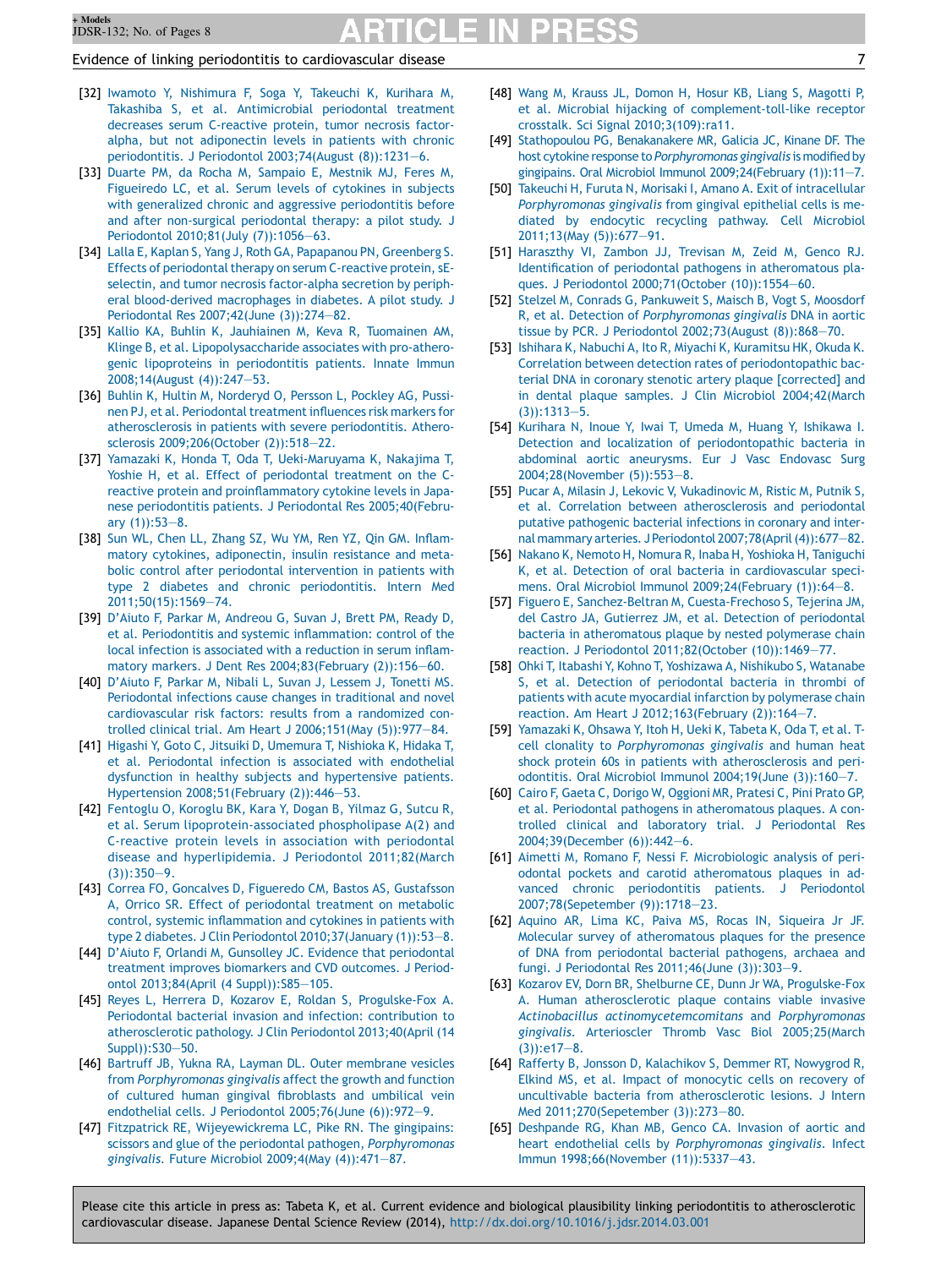#### <span id="page-6-0"></span>Evidence of linking periodontitis to cardiovascular disease 7

- [32] Iwamoto Y, [Nishimura](http://refhub.elsevier.com/S1882-7616(14)00003-9/sbref0160) F, Soga Y, Takeuchi K, Kurihara M, Takashiba S, et al. [Antimicrobial](http://refhub.elsevier.com/S1882-7616(14)00003-9/sbref0160) periodontal treatment decreases serum [C-reactive](http://refhub.elsevier.com/S1882-7616(14)00003-9/sbref0160) protein, tumor necrosis factoralpha, but not [adiponectin](http://refhub.elsevier.com/S1882-7616(14)00003-9/sbref0160) levels in patients with chronic periodontitis. J Periodontol [2003;74\(August](http://refhub.elsevier.com/S1882-7616(14)00003-9/sbref0160) (8)):1231—6.
- [33] Duarte PM, da Rocha M, [Sampaio](http://refhub.elsevier.com/S1882-7616(14)00003-9/sbref0165) E, Mestnik MJ, Feres M, [Figueiredo](http://refhub.elsevier.com/S1882-7616(14)00003-9/sbref0165) LC, et al. Serum levels of cytokines in subjects with generalized chronic and aggressive [periodontitis](http://refhub.elsevier.com/S1882-7616(14)00003-9/sbref0165) before and after [non-surgical](http://refhub.elsevier.com/S1882-7616(14)00003-9/sbref0165) periodontal therapy: a pilot study. J Periodontol 2010;81(July [\(7\)\):1056—63](http://refhub.elsevier.com/S1882-7616(14)00003-9/sbref0165).
- [34] Lalla E, Kaplan S, Yang J, Roth GA, [Papapanou](http://refhub.elsevier.com/S1882-7616(14)00003-9/sbref0170) PN, Greenberg S. Effects of periodontal therapy on serum C-reactive protein, sEselectin, and tumor necrosis [factor-alpha](http://refhub.elsevier.com/S1882-7616(14)00003-9/sbref0170) secretion by peripheral [blood-derived](http://refhub.elsevier.com/S1882-7616(14)00003-9/sbref0170) macrophages in diabetes. A pilot study. J Periodontal Res [2007;42\(June](http://refhub.elsevier.com/S1882-7616(14)00003-9/sbref0170) (3)):274—82.
- [35] Kallio KA, Buhlin K, [Jauhiainen](http://refhub.elsevier.com/S1882-7616(14)00003-9/sbref0175) M, Keva R, Tuomainen AM, Klinge B, et al. [Lipopolysaccharide](http://refhub.elsevier.com/S1882-7616(14)00003-9/sbref0175) associates with pro-atherogenic lipoproteins in [periodontitis](http://refhub.elsevier.com/S1882-7616(14)00003-9/sbref0175) patients. Innate Immun [2008;14\(August](http://refhub.elsevier.com/S1882-7616(14)00003-9/sbref0175) (4)):247—53.
- [36] Buhlin K, Hultin M, [Norderyd](http://refhub.elsevier.com/S1882-7616(14)00003-9/sbref0180) O, Persson L, Pockley AG, Pussinen PJ, et al. Periodontal treatment influences risk markers for [atherosclerosis](http://refhub.elsevier.com/S1882-7616(14)00003-9/sbref0180) in patients with severe periodontitis. Atherosclerosis [2009;206\(October](http://refhub.elsevier.com/S1882-7616(14)00003-9/sbref0180) (2)):518—22.
- [37] Yamazaki K, Honda T, Oda T, [Ueki-Maruyama](http://refhub.elsevier.com/S1882-7616(14)00003-9/sbref0185) K, Nakajima T, Yoshie H, et al. Effect of [periodontal](http://refhub.elsevier.com/S1882-7616(14)00003-9/sbref0185) treatment on the Creactive protein and [proinflammatory](http://refhub.elsevier.com/S1882-7616(14)00003-9/sbref0185) cytokine levels in Japanese periodontitis patients. J Periodontal Res [2005;40\(Febru](http://refhub.elsevier.com/S1882-7616(14)00003-9/sbref0185)ary [\(1\)\):53—8](http://refhub.elsevier.com/S1882-7616(14)00003-9/sbref0185).
- [38] Sun WL, Chen LL, Zhang SZ, Wu YM, Ren YZ, Qin GM. [Inflam](http://refhub.elsevier.com/S1882-7616(14)00003-9/sbref0190)matory cytokines, [adiponectin,](http://refhub.elsevier.com/S1882-7616(14)00003-9/sbref0190) insulin resistance and metabolic control after periodontal [intervention](http://refhub.elsevier.com/S1882-7616(14)00003-9/sbref0190) in patients with type 2 diabetes and chronic [periodontitis.](http://refhub.elsevier.com/S1882-7616(14)00003-9/sbref0190) Intern Med [2011;50\(15\):1569—74.](http://refhub.elsevier.com/S1882-7616(14)00003-9/sbref0190)
- [39] D'Aiuto F, Parkar M, [Andreou](http://refhub.elsevier.com/S1882-7616(14)00003-9/sbref0195) G, Suvan J, Brett PM, Ready D, et al. Periodontitis and systemic [inflammation:](http://refhub.elsevier.com/S1882-7616(14)00003-9/sbref0195) control of the local infection is [associated](http://refhub.elsevier.com/S1882-7616(14)00003-9/sbref0195) with a reduction in serum inflammatory markers. J Dent Res [2004;83\(February](http://refhub.elsevier.com/S1882-7616(14)00003-9/sbref0195) (2)):156—60.
- [40] [D'Aiuto](http://refhub.elsevier.com/S1882-7616(14)00003-9/sbref0200) F, Parkar M, Nibali L, Suvan J, Lessem J, Tonetti MS. [Periodontal](http://refhub.elsevier.com/S1882-7616(14)00003-9/sbref0200) infections cause changes in traditional and novel [cardiovascular](http://refhub.elsevier.com/S1882-7616(14)00003-9/sbref0200) risk factors: results from a randomized controlled clinical trial. Am Heart J [2006;151\(May](http://refhub.elsevier.com/S1882-7616(14)00003-9/sbref0200) (5)):977—84.
- [41] Higashi Y, Goto C, Jitsuiki D, [Umemura](http://refhub.elsevier.com/S1882-7616(14)00003-9/sbref0205) T, Nishioka K, Hidaka T, et al. [Periodontal](http://refhub.elsevier.com/S1882-7616(14)00003-9/sbref0205) infection is associated with endothelial dysfunction in healthy subjects and [hypertensive](http://refhub.elsevier.com/S1882-7616(14)00003-9/sbref0205) patients. Hypertension [2008;51\(February](http://refhub.elsevier.com/S1882-7616(14)00003-9/sbref0205) (2)):446—53.
- [42] [Fentoglu](http://refhub.elsevier.com/S1882-7616(14)00003-9/sbref0210) O, Koroglu BK, Kara Y, Dogan B, Yilmaz G, Sutcu R, et al. Serum [lipoprotein-associated](http://refhub.elsevier.com/S1882-7616(14)00003-9/sbref0210) phospholipase A(2) and C-reactive protein levels in association with [periodontal](http://refhub.elsevier.com/S1882-7616(14)00003-9/sbref0210) disease and [hyperlipidemia.](http://refhub.elsevier.com/S1882-7616(14)00003-9/sbref0210) J Periodontol 2011;82(March [\(3\)\):350—9](http://refhub.elsevier.com/S1882-7616(14)00003-9/sbref0210).
- [43] Correa FO, Goncalves D, Figueredo CM, Bastos AS, [Gustafsson](http://refhub.elsevier.com/S1882-7616(14)00003-9/sbref0215) A, Orrico SR. Effect of [periodontal](http://refhub.elsevier.com/S1882-7616(14)00003-9/sbref0215) treatment on metabolic control, systemic [inflammation](http://refhub.elsevier.com/S1882-7616(14)00003-9/sbref0215) and cytokines in patients with type 2 diabetes. J Clin Periodontol [2010;37\(January](http://refhub.elsevier.com/S1882-7616(14)00003-9/sbref0215) (1)):53—8.
- [44] D'Aiuto F, Orlandi M, Gunsolley JC. Evidence that [periodontal](http://refhub.elsevier.com/S1882-7616(14)00003-9/sbref0220) treatment improves [biomarkers](http://refhub.elsevier.com/S1882-7616(14)00003-9/sbref0220) and CVD outcomes. J Periodontol 2013;84(April (4 [Suppl\)\):S85—105](http://refhub.elsevier.com/S1882-7616(14)00003-9/sbref0220).
- [45] Reyes L, Herrera D, Kozarov E, Roldan S, [Progulske-Fox](http://refhub.elsevier.com/S1882-7616(14)00003-9/sbref0225) A. Periodontal bacterial invasion and infection: [contribution](http://refhub.elsevier.com/S1882-7616(14)00003-9/sbref0225) to [atherosclerotic](http://refhub.elsevier.com/S1882-7616(14)00003-9/sbref0225) pathology. J Clin Periodontol 2013;40(April (14 [Suppl\)\):S30—50](http://refhub.elsevier.com/S1882-7616(14)00003-9/sbref0225).
- [46] Bartruff JB, Yukna RA, Layman DL. Outer [membrane](http://refhub.elsevier.com/S1882-7616(14)00003-9/sbref0230) vesicles from [Porphyromonas](http://refhub.elsevier.com/S1882-7616(14)00003-9/sbref0230) gingivalis affect the growth and function of cultured human gingival [fibroblasts](http://refhub.elsevier.com/S1882-7616(14)00003-9/sbref0230) and umbilical vein endothelial cells. J Periodontol [2005;76\(June](http://refhub.elsevier.com/S1882-7616(14)00003-9/sbref0230) (6)):972—9.
- [47] Fitzpatrick RE, [Wijeyewickrema](http://refhub.elsevier.com/S1882-7616(14)00003-9/sbref0235) LC, Pike RN. The gingipains: scissors and glue of the periodontal pathogen, [Porphyromonas](http://refhub.elsevier.com/S1882-7616(14)00003-9/sbref0235) gingivalis. Future Microbiol 2009;4(May [\(4\)\):471—87.](http://refhub.elsevier.com/S1882-7616(14)00003-9/sbref0235)
- [48] Wang M, Krauss JL, Domon H, Hosur KB, Liang S, [Magotti](http://refhub.elsevier.com/S1882-7616(14)00003-9/sbref0240) P, et al. Microbial hijacking of [complement-toll-like](http://refhub.elsevier.com/S1882-7616(14)00003-9/sbref0240) receptor crosstalk. Sci Signal [2010;3\(109\):ra11](http://refhub.elsevier.com/S1882-7616(14)00003-9/sbref0240).
- [49] Stathopoulou PG, [Benakanakere](http://refhub.elsevier.com/S1882-7616(14)00003-9/sbref0245) MR, Galicia JC, Kinane DF. The host cytokine response to [Porphyromonas](http://refhub.elsevier.com/S1882-7616(14)00003-9/sbref0245) gingivalis is modified by gingipains. Oral Microbiol Immunol [2009;24\(February](http://refhub.elsevier.com/S1882-7616(14)00003-9/sbref0245) (1)):11—7.
- [50] Takeuchi H, Furuta N, Morisaki I, Amano A. Exit of [intracellular](http://refhub.elsevier.com/S1882-7616(14)00003-9/sbref0250) [Porphyromonas](http://refhub.elsevier.com/S1882-7616(14)00003-9/sbref0250) gingivalis from gingival epithelial cells is mediated by [endocytic](http://refhub.elsevier.com/S1882-7616(14)00003-9/sbref0250) recycling pathway. Cell Microbiol [2011;13\(May](http://refhub.elsevier.com/S1882-7616(14)00003-9/sbref0250) (5)):677—91.
- [51] [Haraszthy](http://refhub.elsevier.com/S1882-7616(14)00003-9/sbref0255) VI, Zambon JJ, Trevisan M, Zeid M, Genco RJ. Identification of periodontal pathogens in [atheromatous](http://refhub.elsevier.com/S1882-7616(14)00003-9/sbref0255) plaques. J Periodontol [2000;71\(October](http://refhub.elsevier.com/S1882-7616(14)00003-9/sbref0255) (10)):1554—60.
- [52] Stelzel M, Conrads G, [Pankuweit](http://refhub.elsevier.com/S1882-7616(14)00003-9/sbref0260) S, Maisch B, Vogt S, Moosdorf R, et al. Detection of [Porphyromonas](http://refhub.elsevier.com/S1882-7616(14)00003-9/sbref0260) gingivalis DNA in aortic tissue by PCR. J Periodontol [2002;73\(August](http://refhub.elsevier.com/S1882-7616(14)00003-9/sbref0260) (8)):868—70.
- [53] Ishihara K, Nabuchi A, Ito R, Miyachi K, [Kuramitsu](http://refhub.elsevier.com/S1882-7616(14)00003-9/sbref0265) HK, Okuda K. Correlation between detection rates of [periodontopathic](http://refhub.elsevier.com/S1882-7616(14)00003-9/sbref0265) bacterial DNA in coronary stenotic artery plaque [\[corrected\]](http://refhub.elsevier.com/S1882-7616(14)00003-9/sbref0265) and in dental plaque samples. J Clin Microbiol [2004;42\(March](http://refhub.elsevier.com/S1882-7616(14)00003-9/sbref0265) [\(3\)\):1313—5.](http://refhub.elsevier.com/S1882-7616(14)00003-9/sbref0265)
- [54] Kurihara N, Inoue Y, Iwai T, Umeda M, Huang Y, [Ishikawa](http://refhub.elsevier.com/S1882-7616(14)00003-9/sbref0270) I. Detection and localization of [periodontopathic](http://refhub.elsevier.com/S1882-7616(14)00003-9/sbref0270) bacteria in abdominal aortic [aneurysms.](http://refhub.elsevier.com/S1882-7616(14)00003-9/sbref0270) Eur J Vasc Endovasc Surg [2004;28\(November](http://refhub.elsevier.com/S1882-7616(14)00003-9/sbref0270) (5)):553—8.
- [55] Pucar A, Milasin J, Lekovic V, [Vukadinovic](http://refhub.elsevier.com/S1882-7616(14)00003-9/sbref0275) M, Ristic M, Putnik S, et al. Correlation between [atherosclerosis](http://refhub.elsevier.com/S1882-7616(14)00003-9/sbref0275) and periodontal putative [pathogenic](http://refhub.elsevier.com/S1882-7616(14)00003-9/sbref0275) bacterial infections in coronary and internal mammary arteries. J Periodontol [2007;78\(April\(4\)\):677—82.](http://refhub.elsevier.com/S1882-7616(14)00003-9/sbref0275)
- [56] Nakano K, Nemoto H, Nomura R, Inaba H, Yoshioka H, [Taniguchi](http://refhub.elsevier.com/S1882-7616(14)00003-9/sbref0280) K, et al. Detection of oral bacteria in [cardiovascular](http://refhub.elsevier.com/S1882-7616(14)00003-9/sbref0280) specimens. Oral Microbiol Immunol [2009;24\(February](http://refhub.elsevier.com/S1882-7616(14)00003-9/sbref0280) (1)):64—8.
- [57] Figuero E, Sanchez-Beltran M, [Cuesta-Frechoso](http://refhub.elsevier.com/S1882-7616(14)00003-9/sbref0285) S, Tejerina JM, del Castro JA, Gutierrez JM, et al. Detection of [periodontal](http://refhub.elsevier.com/S1882-7616(14)00003-9/sbref0285) bacteria in [atheromatous](http://refhub.elsevier.com/S1882-7616(14)00003-9/sbref0285) plaque by nested polymerase chain reaction. J Periodontol [2011;82\(October](http://refhub.elsevier.com/S1882-7616(14)00003-9/sbref0285) (10)):1469—77.
- [58] Ohki T, Itabashi Y, Kohno T, [Yoshizawa](http://refhub.elsevier.com/S1882-7616(14)00003-9/sbref0290) A, Nishikubo S, Watanabe S, et al. Detection of [periodontal](http://refhub.elsevier.com/S1882-7616(14)00003-9/sbref0290) bacteria in thrombi of patients with acute myocardial infarction by [polymerase](http://refhub.elsevier.com/S1882-7616(14)00003-9/sbref0290) chain reaction. Am Heart J [2012;163\(February](http://refhub.elsevier.com/S1882-7616(14)00003-9/sbref0290) (2)):164—7.
- [59] [Yamazaki](http://refhub.elsevier.com/S1882-7616(14)00003-9/sbref0295) K, Ohsawa Y, Itoh H, Ueki K, Tabeta K, Oda T, et al. Tcell clonality to [Porphyromonas](http://refhub.elsevier.com/S1882-7616(14)00003-9/sbref0295) gingivalis and human heat shock protein 60s in patients with [atherosclerosis](http://refhub.elsevier.com/S1882-7616(14)00003-9/sbref0295) and periodontitis. Oral Microbiol Immunol [2004;19\(June](http://refhub.elsevier.com/S1882-7616(14)00003-9/sbref0295) (3)):160—7.
- [60] Cairo F, Gaeta C, Dorigo W, [Oggioni](http://refhub.elsevier.com/S1882-7616(14)00003-9/sbref0300) MR, Pratesi C, Pini Prato GP, et al. Periodontal pathogens in [atheromatous](http://refhub.elsevier.com/S1882-7616(14)00003-9/sbref0300) plaques. A controlled clinical and laboratory trial. J [Periodontal](http://refhub.elsevier.com/S1882-7616(14)00003-9/sbref0300) Res [2004;39\(December](http://refhub.elsevier.com/S1882-7616(14)00003-9/sbref0300) (6)):442—6.
- [61] Aimetti M, Romano F, Nessi F. [Microbiologic](http://refhub.elsevier.com/S1882-7616(14)00003-9/sbref0305) analysis of periodontal pockets and carotid [atheromatous](http://refhub.elsevier.com/S1882-7616(14)00003-9/sbref0305) plaques in advanced chronic [periodontitis](http://refhub.elsevier.com/S1882-7616(14)00003-9/sbref0305) patients. J Periodontol [2007;78\(Sepetember](http://refhub.elsevier.com/S1882-7616(14)00003-9/sbref0305) (9)):1718—23.
- [62] [Aquino](http://refhub.elsevier.com/S1882-7616(14)00003-9/sbref0310) AR, Lima KC, Paiva MS, Rocas IN, [Siqueira](http://refhub.elsevier.com/S1882-7616(14)00003-9/sbref0310) Jr JF. Molecular survey of [atheromatous](http://refhub.elsevier.com/S1882-7616(14)00003-9/sbref0310) plaques for the presence of DNA from [periodontal](http://refhub.elsevier.com/S1882-7616(14)00003-9/sbref0310) bacterial pathogens, archaea and fungi. J Periodontal Res [2011;46\(June](http://refhub.elsevier.com/S1882-7616(14)00003-9/sbref0310) (3)):303—9.
- [63] Kozarov EV, Dorn BR, [Shelburne](http://refhub.elsevier.com/S1882-7616(14)00003-9/sbref0315) CE, Dunn Jr WA, [Progulske-Fox](http://refhub.elsevier.com/S1882-7616(14)00003-9/sbref0315) A. Human [atherosclerotic](http://refhub.elsevier.com/S1882-7616(14)00003-9/sbref0315) plaque contains viable invasive Actinobacillus [actinomycetemcomitans](http://refhub.elsevier.com/S1882-7616(14)00003-9/sbref0315) and Porphyromonas gingivalis. Arterioscler Thromb Vasc Biol [2005;25\(March](http://refhub.elsevier.com/S1882-7616(14)00003-9/sbref0315) [\(3\)\):e17—8.](http://refhub.elsevier.com/S1882-7616(14)00003-9/sbref0315)
- [64] Rafferty B, Jonsson D, [Kalachikov](http://refhub.elsevier.com/S1882-7616(14)00003-9/sbref0320) S, Demmer RT, Nowygrod R, Elkind MS, et al. Impact of [monocytic](http://refhub.elsevier.com/S1882-7616(14)00003-9/sbref0320) cells on recovery of uncultivable bacteria from [atherosclerotic](http://refhub.elsevier.com/S1882-7616(14)00003-9/sbref0320) lesions. J Intern Med [2011;270\(Sepetember](http://refhub.elsevier.com/S1882-7616(14)00003-9/sbref0320) (3)):273—80.
- [65] [Deshpande](http://refhub.elsevier.com/S1882-7616(14)00003-9/sbref0325) RG, Khan MB, Genco CA. Invasion of aortic and heart endothelial cells by [Porphyromonas](http://refhub.elsevier.com/S1882-7616(14)00003-9/sbref0325) gingivalis. Infect Immun [1998;66\(November](http://refhub.elsevier.com/S1882-7616(14)00003-9/sbref0325) (11)):5337—43.